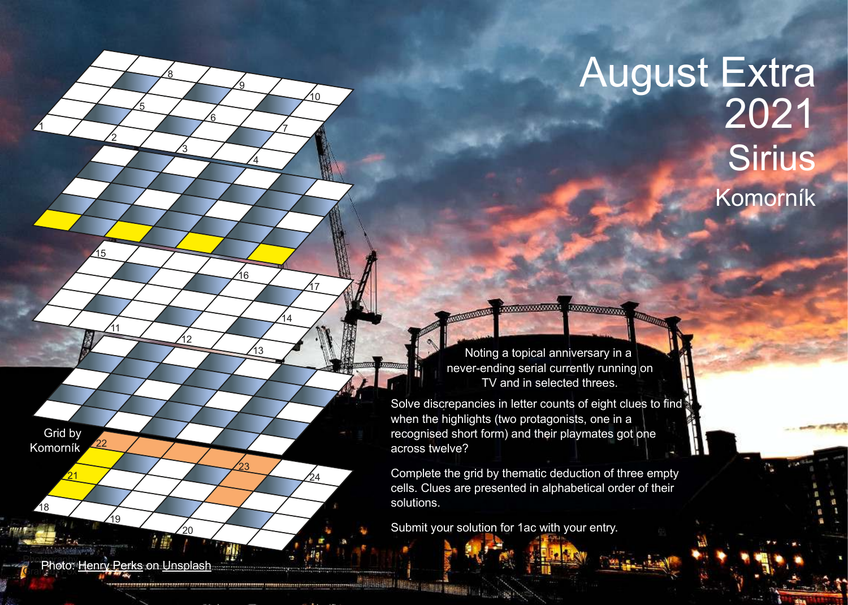## Komorník **Sirius** August Extra 2021

Noting a topical anniversary in a never-ending serial currently running on TV and in selected threes.

**EXXXXXXXXXXX** 

Solve discrepancies in letter counts of eight clues to find when the highlights (two protagonists, one in a recognised short form) and their playmates got one across twelve?

Complete the grid by thematic deduction of three empty cells. Clues are presented in alphabetical order of their solutions.

Submit your solution for 1ac with your entry.

**ANIAL ANALYSIS CROWNING** 

**Photo: Henry Perks on Unsplash** 

20

12

19

1

18

21

Grid by Komorník

22

2

 $\underline{11}$ 

15

5

8

3

<u>6</u>

<u>ର</u>

4

7

10

 $\overline{14}$ 

<u>17</u>

24

16

13

23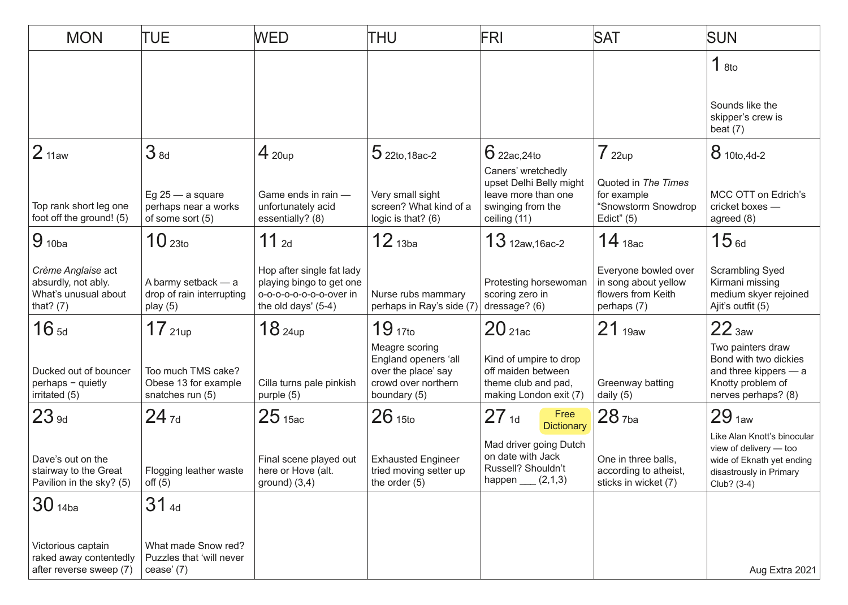| <b>MON</b>                                                                       | TUE                                                            | <b>WED</b>                                                                                            | THU                                                                                                  | FRI                                                                                                       | <b>SAT</b>                                                                        | <b>SUN</b>                                                                                                                   |
|----------------------------------------------------------------------------------|----------------------------------------------------------------|-------------------------------------------------------------------------------------------------------|------------------------------------------------------------------------------------------------------|-----------------------------------------------------------------------------------------------------------|-----------------------------------------------------------------------------------|------------------------------------------------------------------------------------------------------------------------------|
|                                                                                  |                                                                |                                                                                                       |                                                                                                      |                                                                                                           |                                                                                   | 18to                                                                                                                         |
|                                                                                  |                                                                |                                                                                                       |                                                                                                      |                                                                                                           |                                                                                   | Sounds like the<br>skipper's crew is<br>beat $(7)$                                                                           |
| 2 <sub>11aw</sub>                                                                | 3 <sub>8d</sub>                                                | $4_{20up}$                                                                                            | $5$ 22to, 18ac-2                                                                                     | $6$ 22ac, 24to                                                                                            | 722up                                                                             | 8 10to, 4d-2                                                                                                                 |
| Top rank short leg one<br>foot off the ground! (5)                               | Eg $25 - a$ square<br>perhaps near a works<br>of some sort (5) | Game ends in rain -<br>unfortunately acid<br>essentially? (8)                                         | Very small sight<br>screen? What kind of a<br>logic is that? (6)                                     | Caners' wretchedly<br>upset Delhi Belly might<br>leave more than one<br>swinging from the<br>ceiling (11) | Quoted in The Times<br>for example<br>"Snowstorm Snowdrop<br>Edict" $(5)$         | MCC OTT on Edrich's<br>cricket boxes -<br>agreed (8)                                                                         |
| $9_{10ba}$                                                                       | 10 <sub>23to</sub>                                             | $11$ 2d                                                                                               | $12$ <sub>13ba</sub>                                                                                 | $13$ 12aw, 16ac-2                                                                                         | $14$ 18ac                                                                         | 15 <sub>6d</sub>                                                                                                             |
| Crème Anglaise act<br>absurdly, not ably.<br>What's unusual about<br>that? $(7)$ | A barmy setback - a<br>drop of rain interrupting<br>play $(5)$ | Hop after single fat lady<br>playing bingo to get one<br>0-0-0-0-0-0-0-0ver in<br>the old days' (5-4) | Nurse rubs mammary<br>perhaps in Ray's side (7                                                       | Protesting horsewoman<br>scoring zero in<br>dressage? (6)                                                 | Everyone bowled over<br>in song about yellow<br>flowers from Keith<br>perhaps (7) | Scrambling Syed<br>Kirmani missing<br>medium skyer rejoined<br>Ajit's outfit (5)                                             |
| 16 <sub>5d</sub>                                                                 | 17 <sub>21up</sub>                                             | 18 <sub>24up</sub>                                                                                    | 19 <sub>17to</sub>                                                                                   | 20 <sub>21ac</sub>                                                                                        | 21 <sub>19aw</sub>                                                                | 22 <sub>3aw</sub>                                                                                                            |
| Ducked out of bouncer<br>perhaps - quietly<br>irritated (5)                      | Too much TMS cake?<br>Obese 13 for example<br>snatches run (5) | Cilla turns pale pinkish<br>purple (5)                                                                | Meagre scoring<br>England openers 'all<br>over the place' say<br>crowd over northern<br>boundary (5) | Kind of umpire to drop<br>off maiden between<br>theme club and pad,<br>making London exit (7)             | Greenway batting<br>daily $(5)$                                                   | Two painters draw<br>Bond with two dickies<br>and three kippers - a<br>Knotty problem of<br>nerves perhaps? (8)              |
| 23 <sub>9d</sub>                                                                 | $24_{7d}$                                                      | 25 <sub>15ac</sub>                                                                                    | 26 <sub>15to</sub>                                                                                   | $27_{1d}$<br>Free<br><b>Dictionary</b>                                                                    | 28 <sub>7ba</sub>                                                                 | 29 <sub>1aw</sub>                                                                                                            |
| Dave's out on the<br>stairway to the Great<br>Pavilion in the sky? (5)           | Flogging leather waste<br>off(5)                               | Final scene played out<br>here or Hove (alt.<br>ground) $(3,4)$                                       | <b>Exhausted Engineer</b><br>tried moving setter up<br>the order $(5)$                               | Mad driver going Dutch<br>on date with Jack<br>Russell? Shouldn't<br>happen $(2,1,3)$                     | One in three balls,<br>according to atheist,<br>sticks in wicket (7)              | Like Alan Knott's binocular<br>view of delivery - too<br>wide of Eknath yet ending<br>disastrously in Primary<br>Club? (3-4) |
| 30 <sub>14ba</sub>                                                               | 31 <sub>4d</sub>                                               |                                                                                                       |                                                                                                      |                                                                                                           |                                                                                   |                                                                                                                              |
| Victorious captain<br>raked away contentedly<br>after reverse sweep (7)          | What made Snow red?<br>Puzzles that 'will never<br>cease $(7)$ |                                                                                                       |                                                                                                      |                                                                                                           |                                                                                   | Aug Extra 2021                                                                                                               |